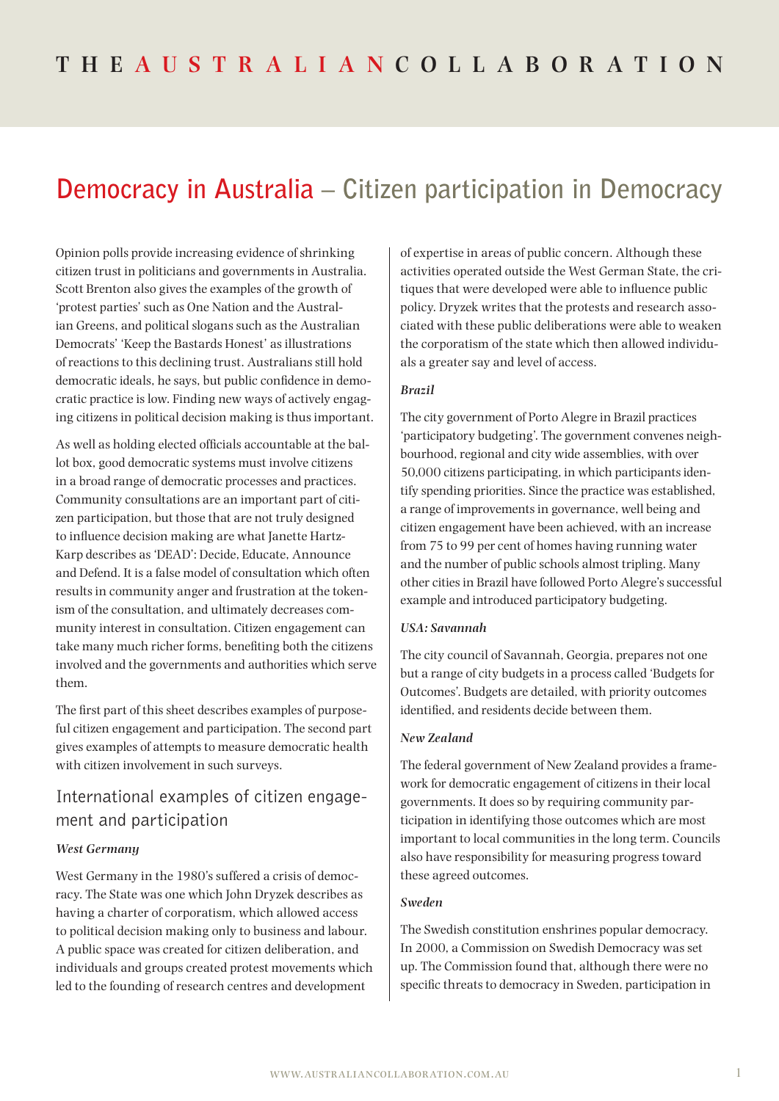# **Democracy in Australia – Citizen participation in Democracy**

Opinion polls provide increasing evidence of shrinking citizen trust in politicians and governments in Australia. Scott Brenton also gives the examples of the growth of 'protest parties' such as One Nation and the Australian Greens, and political slogans such as the Australian Democrats' 'Keep the Bastards Honest' as illustrations of reactions to this declining trust. Australians still hold democratic ideals, he says, but public confidence in democratic practice is low. Finding new ways of actively engaging citizens in political decision making is thus important.

As well as holding elected officials accountable at the ballot box, good democratic systems must involve citizens in a broad range of democratic processes and practices. Community consultations are an important part of citizen participation, but those that are not truly designed to influence decision making are what Janette Hartz-Karp describes as 'DEAD': Decide, Educate, Announce and Defend. It is a false model of consultation which often results in community anger and frustration at the tokenism of the consultation, and ultimately decreases community interest in consultation. Citizen engagement can take many much richer forms, benefiting both the citizens involved and the governments and authorities which serve them.

The first part of this sheet describes examples of purposeful citizen engagement and participation. The second part gives examples of attempts to measure democratic health with citizen involvement in such surveys.

# International examples of citizen engagement and participation

#### *West Germany*

West Germany in the 1980's suffered a crisis of democracy. The State was one which John Dryzek describes as having a charter of corporatism, which allowed access to political decision making only to business and labour. A public space was created for citizen deliberation, and individuals and groups created protest movements which led to the founding of research centres and development

of expertise in areas of public concern. Although these activities operated outside the West German State, the critiques that were developed were able to influence public policy. Dryzek writes that the protests and research associated with these public deliberations were able to weaken the corporatism of the state which then allowed individuals a greater say and level of access.

#### *Brazil*

The city government of Porto Alegre in Brazil practices 'participatory budgeting'. The government convenes neighbourhood, regional and city wide assemblies, with over 50,000 citizens participating, in which participants identify spending priorities. Since the practice was established, a range of improvements in governance, well being and citizen engagement have been achieved, with an increase from 75 to 99 per cent of homes having running water and the number of public schools almost tripling. Many other cities in Brazil have followed Porto Alegre's successful example and introduced participatory budgeting.

#### *USA: Savannah*

The city council of Savannah, Georgia, prepares not one but a range of city budgets in a process called 'Budgets for Outcomes'. Budgets are detailed, with priority outcomes identified, and residents decide between them.

### *New Zealand*

The federal government of New Zealand provides a framework for democratic engagement of citizens in their local governments. It does so by requiring community participation in identifying those outcomes which are most important to local communities in the long term. Councils also have responsibility for measuring progress toward these agreed outcomes.

#### *Sweden*

The Swedish constitution enshrines popular democracy. In 2000, a Commission on Swedish Democracy was set up. The Commission found that, although there were no specific threats to democracy in Sweden, participation in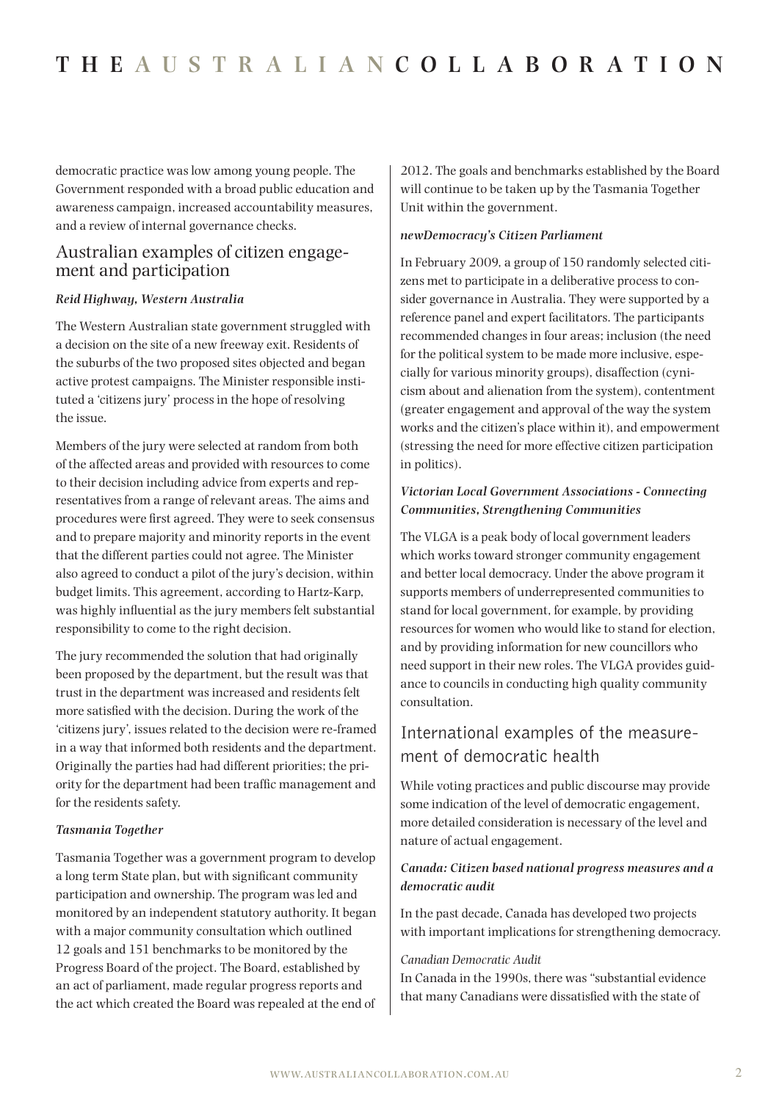democratic practice was low among young people. The Government responded with a broad public education and awareness campaign, increased accountability measures, and a review of internal governance checks.

# Australian examples of citizen engagement and participation

### *Reid Highway, Western Australia*

The Western Australian state government struggled with a decision on the site of a new freeway exit. Residents of the suburbs of the two proposed sites objected and began active protest campaigns. The Minister responsible instituted a 'citizens jury' process in the hope of resolving the issue.

Members of the jury were selected at random from both of the affected areas and provided with resources to come to their decision including advice from experts and representatives from a range of relevant areas. The aims and procedures were first agreed. They were to seek consensus and to prepare majority and minority reports in the event that the different parties could not agree. The Minister also agreed to conduct a pilot of the jury's decision, within budget limits. This agreement, according to Hartz-Karp, was highly influential as the jury members felt substantial responsibility to come to the right decision.

The jury recommended the solution that had originally been proposed by the department, but the result was that trust in the department was increased and residents felt more satisfied with the decision. During the work of the 'citizens jury', issues related to the decision were re-framed in a way that informed both residents and the department. Originally the parties had had different priorities; the priority for the department had been traffic management and for the residents safety.

#### *Tasmania Together*

Tasmania Together was a government program to develop a long term State plan, but with significant community participation and ownership. The program was led and monitored by an independent statutory authority. It began with a major community consultation which outlined 12 goals and 151 benchmarks to be monitored by the Progress Board of the project. The Board, established by an act of parliament, made regular progress reports and the act which created the Board was repealed at the end of

2012. The goals and benchmarks established by the Board will continue to be taken up by the Tasmania Together Unit within the government.

#### *newDemocracy's Citizen Parliament*

In February 2009, a group of 150 randomly selected citizens met to participate in a deliberative process to consider governance in Australia. They were supported by a reference panel and expert facilitators. The participants recommended changes in four areas; inclusion (the need for the political system to be made more inclusive, especially for various minority groups), disaffection (cynicism about and alienation from the system), contentment (greater engagement and approval of the way the system works and the citizen's place within it), and empowerment (stressing the need for more effective citizen participation in politics).

### *Victorian Local Government Associations - Connecting Communities, Strengthening Communities*

The VLGA is a peak body of local government leaders which works toward stronger community engagement and better local democracy. Under the above program it supports members of underrepresented communities to stand for local government, for example, by providing resources for women who would like to stand for election, and by providing information for new councillors who need support in their new roles. The VLGA provides guidance to councils in conducting high quality community consultation.

# International examples of the measurement of democratic health

While voting practices and public discourse may provide some indication of the level of democratic engagement, more detailed consideration is necessary of the level and nature of actual engagement.

## *Canada: Citizen based national progress measures and a democratic audit*

In the past decade, Canada has developed two projects with important implications for strengthening democracy.

#### *Canadian Democratic Audit*

In Canada in the 1990s, there was "substantial evidence that many Canadians were dissatisfied with the state of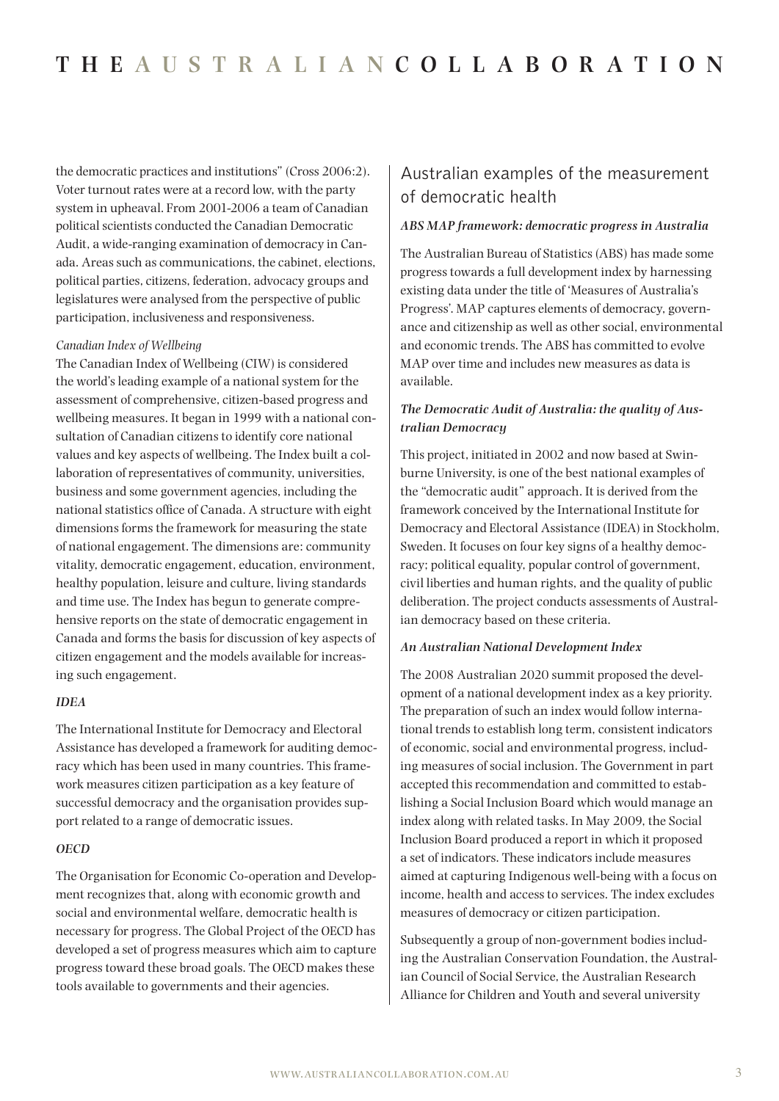the democratic practices and institutions" (Cross 2006:2). Voter turnout rates were at a record low, with the party system in upheaval. From 2001-2006 a team of Canadian political scientists conducted the Canadian Democratic Audit, a wide-ranging examination of democracy in Canada. Areas such as communications, the cabinet, elections, political parties, citizens, federation, advocacy groups and legislatures were analysed from the perspective of public participation, inclusiveness and responsiveness.

#### *Canadian Index of Wellbeing*

The Canadian Index of Wellbeing (CIW) is considered the world's leading example of a national system for the assessment of comprehensive, citizen-based progress and wellbeing measures. It began in 1999 with a national consultation of Canadian citizens to identify core national values and key aspects of wellbeing. The Index built a collaboration of representatives of community, universities, business and some government agencies, including the national statistics office of Canada. A structure with eight dimensions forms the framework for measuring the state of national engagement. The dimensions are: community vitality, democratic engagement, education, environment, healthy population, leisure and culture, living standards and time use. The Index has begun to generate comprehensive reports on the state of democratic engagement in Canada and forms the basis for discussion of key aspects of citizen engagement and the models available for increasing such engagement.

#### *IDEA*

The International Institute for Democracy and Electoral Assistance has developed a framework for auditing democracy which has been used in many countries. This framework measures citizen participation as a key feature of successful democracy and the organisation provides support related to a range of democratic issues.

#### *OECD*

The Organisation for Economic Co-operation and Development recognizes that, along with economic growth and social and environmental welfare, democratic health is necessary for progress. The Global Project of the OECD has developed a set of progress measures which aim to capture progress toward these broad goals. The OECD makes these tools available to governments and their agencies.

# Australian examples of the measurement of democratic health

#### *ABS MAP framework: democratic progress in Australia*

The Australian Bureau of Statistics (ABS) has made some progress towards a full development index by harnessing existing data under the title of 'Measures of Australia's Progress'. MAP captures elements of democracy, governance and citizenship as well as other social, environmental and economic trends. The ABS has committed to evolve MAP over time and includes new measures as data is available.

## *The Democratic Audit of Australia: the quality of Australian Democracy*

This project, initiated in 2002 and now based at Swinburne University, is one of the best national examples of the "democratic audit" approach. It is derived from the framework conceived by the International Institute for Democracy and Electoral Assistance (IDEA) in Stockholm, Sweden. It focuses on four key signs of a healthy democracy; political equality, popular control of government, civil liberties and human rights, and the quality of public deliberation. The project conducts assessments of Australian democracy based on these criteria.

#### *An Australian National Development Index*

The 2008 Australian 2020 summit proposed the development of a national development index as a key priority. The preparation of such an index would follow international trends to establish long term, consistent indicators of economic, social and environmental progress, including measures of social inclusion. The Government in part accepted this recommendation and committed to establishing a Social Inclusion Board which would manage an index along with related tasks. In May 2009, the Social Inclusion Board produced a report in which it proposed a set of indicators. These indicators include measures aimed at capturing Indigenous well-being with a focus on income, health and access to services. The index excludes measures of democracy or citizen participation.

Subsequently a group of non-government bodies including the Australian Conservation Foundation, the Australian Council of Social Service, the Australian Research Alliance for Children and Youth and several university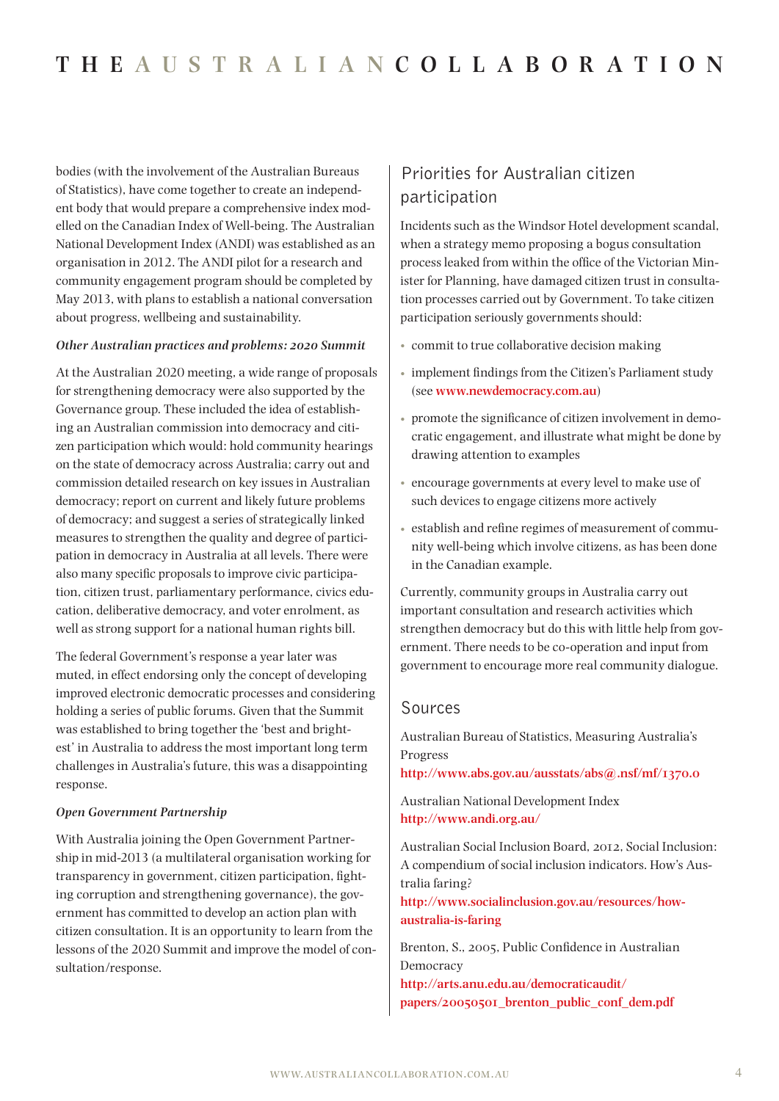bodies (with the involvement of the Australian Bureaus of Statistics), have come together to create an independent body that would prepare a comprehensive index modelled on the Canadian Index of Well-being. The Australian National Development Index (ANDI) was established as an organisation in 2012. The ANDI pilot for a research and community engagement program should be completed by May 2013, with plans to establish a national conversation about progress, wellbeing and sustainability.

#### *Other Australian practices and problems: 2020 Summit*

At the Australian 2020 meeting, a wide range of proposals for strengthening democracy were also supported by the Governance group. These included the idea of establishing an Australian commission into democracy and citizen participation which would: hold community hearings on the state of democracy across Australia; carry out and commission detailed research on key issues in Australian democracy; report on current and likely future problems of democracy; and suggest a series of strategically linked measures to strengthen the quality and degree of participation in democracy in Australia at all levels. There were also many specific proposals to improve civic participation, citizen trust, parliamentary performance, civics education, deliberative democracy, and voter enrolment, as well as strong support for a national human rights bill.

The federal Government's response a year later was muted, in effect endorsing only the concept of developing improved electronic democratic processes and considering holding a series of public forums. Given that the Summit was established to bring together the 'best and brightest' in Australia to address the most important long term challenges in Australia's future, this was a disappointing response.

#### *Open Government Partnership*

With Australia joining the Open Government Partnership in mid-2013 (a multilateral organisation working for transparency in government, citizen participation, fighting corruption and strengthening governance), the government has committed to develop an action plan with citizen consultation. It is an opportunity to learn from the lessons of the 2020 Summit and improve the model of consultation/response.

# Priorities for Australian citizen participation

Incidents such as the Windsor Hotel development scandal, when a strategy memo proposing a bogus consultation process leaked from within the office of the Victorian Minister for Planning, have damaged citizen trust in consultation processes carried out by Government. To take citizen participation seriously governments should:

- commit to true collaborative decision making
- implement findings from the Citizen's Parliament study (see **<www.newdemocracy.com.au>**)
- promote the significance of citizen involvement in democratic engagement, and illustrate what might be done by drawing attention to examples
- encourage governments at every level to make use of such devices to engage citizens more actively
- establish and refine regimes of measurement of community well-being which involve citizens, as has been done in the Canadian example.

Currently, community groups in Australia carry out important consultation and research activities which strengthen democracy but do this with little help from government. There needs to be co-operation and input from government to encourage more real community dialogue.

### Sources

Australian Bureau of Statistics, Measuring Australia's Progress

**<http://www.abs.gov.au/ausstats/abs@.nsf/mf/1370.0>**

Australian National Development Index **<http://www.andi.org.au/>**

Australian Social Inclusion Board, 2012, Social Inclusion: A compendium of social inclusion indicators. How's Australia faring?

**[http://www.socialinclusion.gov.au/resources/how](http://www.socialinclusion.gov.au/resources/how-australia-is-faring)[australia-is-faring](http://www.socialinclusion.gov.au/resources/how-australia-is-faring)**

Brenton, S., 2005, Public Confidence in Australian Democracy

**[http://arts.anu.edu.au/democraticaudit/](http://arts.anu.edu.au/democraticaudit/papers/20050501_brenton_public_conf_dem.pdf) [papers/20050501\\_brenton\\_public\\_conf\\_dem.pdf](http://arts.anu.edu.au/democraticaudit/papers/20050501_brenton_public_conf_dem.pdf)**